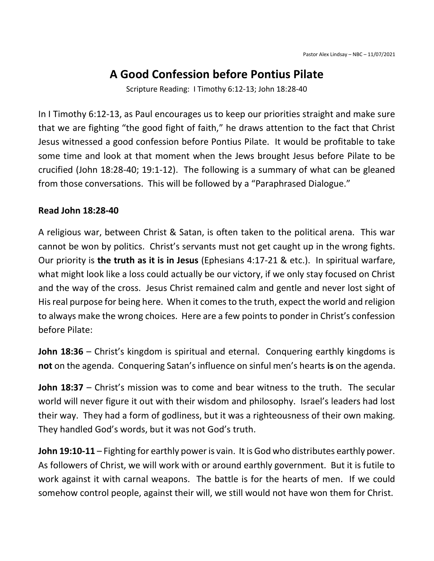## A Good Confession before Pontius Pilate

Scripture Reading: I Timothy 6:12-13; John 18:28-40

In I Timothy 6:12-13, as Paul encourages us to keep our priorities straight and make sure that we are fighting "the good fight of faith," he draws attention to the fact that Christ Jesus witnessed a good confession before Pontius Pilate. It would be profitable to take some time and look at that moment when the Jews brought Jesus before Pilate to be crucified (John 18:28-40; 19:1-12). The following is a summary of what can be gleaned from those conversations. This will be followed by a "Paraphrased Dialogue."

## Read John 18:28-40

A religious war, between Christ & Satan, is often taken to the political arena. This war cannot be won by politics. Christ's servants must not get caught up in the wrong fights. Our priority is the truth as it is in Jesus (Ephesians 4:17-21 & etc.). In spiritual warfare, what might look like a loss could actually be our victory, if we only stay focused on Christ and the way of the cross. Jesus Christ remained calm and gentle and never lost sight of His real purpose for being here. When it comes to the truth, expect the world and religion to always make the wrong choices. Here are a few points to ponder in Christ's confession before Pilate:

John 18:36 – Christ's kingdom is spiritual and eternal. Conquering earthly kingdoms is not on the agenda. Conquering Satan's influence on sinful men's hearts is on the agenda.

John 18:37 – Christ's mission was to come and bear witness to the truth. The secular world will never figure it out with their wisdom and philosophy. Israel's leaders had lost their way. They had a form of godliness, but it was a righteousness of their own making. They handled God's words, but it was not God's truth.

John 19:10-11 – Fighting for earthly power is vain. It is God who distributes earthly power. As followers of Christ, we will work with or around earthly government. But it is futile to work against it with carnal weapons. The battle is for the hearts of men. If we could somehow control people, against their will, we still would not have won them for Christ.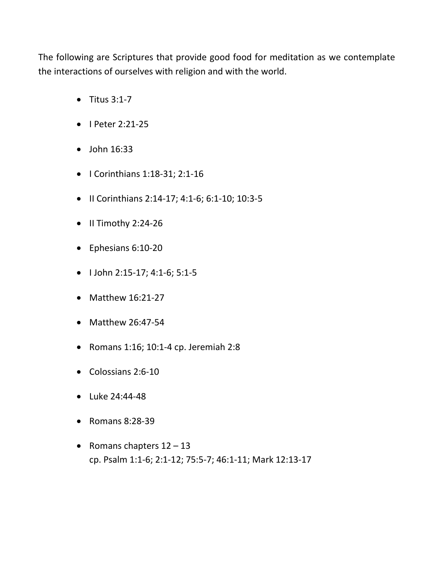The following are Scriptures that provide good food for meditation as we contemplate the interactions of ourselves with religion and with the world.

- $\bullet$  Titus 3:1-7
- $\bullet$  I Peter 2:21-25
- $\bullet$  John 16:33
- I Corinthians 1:18-31; 2:1-16
- II Corinthians 2:14-17; 4:1-6; 6:1-10; 10:3-5
- $\bullet$  II Timothy 2:24-26
- Ephesians 6:10-20
- $\bullet$  I John 2:15-17; 4:1-6; 5:1-5
- $\bullet$  Matthew 16:21-27
- Matthew 26:47-54
- Romans  $1:16$ ;  $10:1-4$  cp. Jeremiah  $2:8$
- Colossians 2:6-10
- Luke 24:44-48
- Romans 8:28-39
- Romans chapters  $12 13$ cp. Psalm 1:1-6; 2:1-12; 75:5-7; 46:1-11; Mark 12:13-17